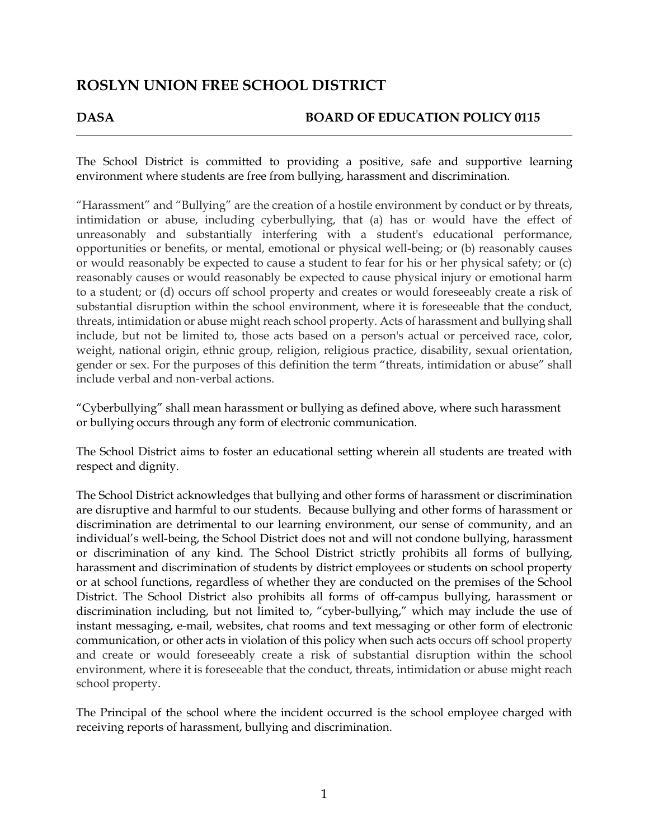## **DASA BOARD OF EDUCATION POLICY 0115**

The School District is committed to providing a positive, safe and supportive learning environment where students are free from bullying, harassment and discrimination.

"Harassment" and "Bullying" are the creation of a hostile environment by conduct or by threats, intimidation or abuse, including cyberbullying, that (a) has or would have the effect of unreasonably and substantially interfering with a student's educational performance, opportunities or benefits, or mental, emotional or physical well-being; or (b) reasonably causes or would reasonably be expected to cause a student to fear for his or her physical safety; or (c) reasonably causes or would reasonably be expected to cause physical injury or emotional harm to a student; or (d) occurs off school property and creates or would foreseeably create a risk of substantial disruption within the school environment, where it is foreseeable that the conduct, threats, intimidation or abuse might reach school property. Acts of harassment and bullying shall include, but not be limited to, those acts based on a person's actual or perceived race, color, weight, national origin, ethnic group, religion, religious practice, disability, sexual orientation, gender or sex. For the purposes of this definition the term "threats, intimidation or abuse" shall include verbal and non-verbal actions.

"Cyberbullying" shall mean harassment or bullying as defined above, where such harassment or bullying occurs through any form of electronic communication.

The School District aims to foster an educational setting wherein all students are treated with respect and dignity.

The School District acknowledges that bullying and other forms of harassment or discrimination are disruptive and harmful to our students. Because bullying and other forms of harassment or discrimination are detrimental to our learning environment, our sense of community, and an individual's well-being, the School District does not and will not condone bullying, harassment or discrimination of any kind. The School District strictly prohibits all forms of bullying, harassment and discrimination of students by district employees or students on school property or at school functions, regardless of whether they are conducted on the premises of the School District. The School District also prohibits all forms of off-campus bullying, harassment or discrimination including, but not limited to, "cyber-bullying," which may include the use of instant messaging, e-mail, websites, chat rooms and text messaging or other form of electronic communication, or other acts in violation of this policy when such acts occurs off school property and create or would foreseeably create a risk of substantial disruption within the school environment, where it is foreseeable that the conduct, threats, intimidation or abuse might reach school property.

The Principal of the school where the incident occurred is the school employee charged with receiving reports of harassment, bullying and discrimination.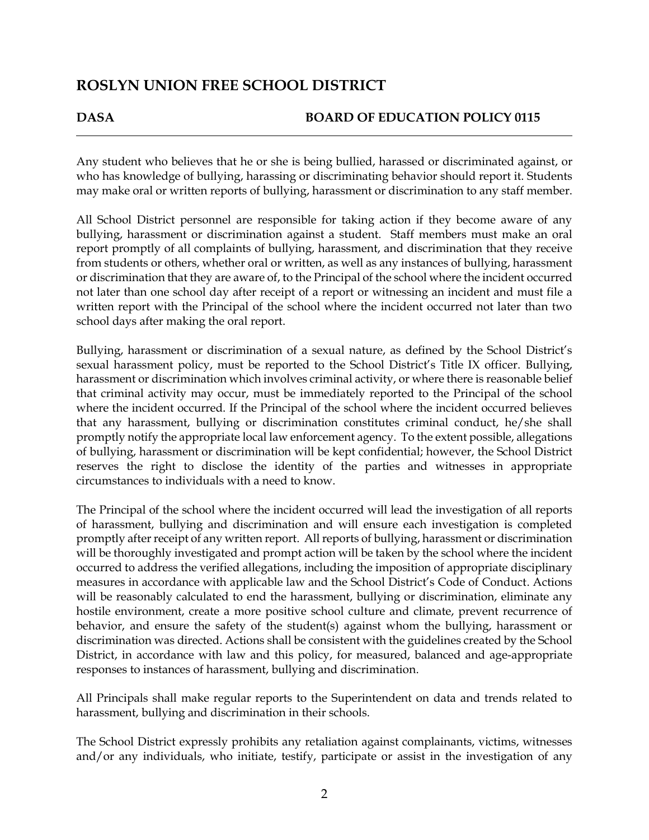## **DASA BOARD OF EDUCATION POLICY 0115**

Any student who believes that he or she is being bullied, harassed or discriminated against, or who has knowledge of bullying, harassing or discriminating behavior should report it. Students may make oral or written reports of bullying, harassment or discrimination to any staff member.

All School District personnel are responsible for taking action if they become aware of any bullying, harassment or discrimination against a student. Staff members must make an oral report promptly of all complaints of bullying, harassment, and discrimination that they receive from students or others, whether oral or written, as well as any instances of bullying, harassment or discrimination that they are aware of, to the Principal of the school where the incident occurred not later than one school day after receipt of a report or witnessing an incident and must file a written report with the Principal of the school where the incident occurred not later than two school days after making the oral report.

Bullying, harassment or discrimination of a sexual nature, as defined by the School District's sexual harassment policy, must be reported to the School District's Title IX officer. Bullying, harassment or discrimination which involves criminal activity, or where there is reasonable belief that criminal activity may occur, must be immediately reported to the Principal of the school where the incident occurred. If the Principal of the school where the incident occurred believes that any harassment, bullying or discrimination constitutes criminal conduct, he/she shall promptly notify the appropriate local law enforcement agency. To the extent possible, allegations of bullying, harassment or discrimination will be kept confidential; however, the School District reserves the right to disclose the identity of the parties and witnesses in appropriate circumstances to individuals with a need to know.

The Principal of the school where the incident occurred will lead the investigation of all reports of harassment, bullying and discrimination and will ensure each investigation is completed promptly after receipt of any written report. All reports of bullying, harassment or discrimination will be thoroughly investigated and prompt action will be taken by the school where the incident occurred to address the verified allegations, including the imposition of appropriate disciplinary measures in accordance with applicable law and the School District's Code of Conduct. Actions will be reasonably calculated to end the harassment, bullying or discrimination, eliminate any hostile environment, create a more positive school culture and climate, prevent recurrence of behavior, and ensure the safety of the student(s) against whom the bullying, harassment or discrimination was directed. Actions shall be consistent with the guidelines created by the School District, in accordance with law and this policy, for measured, balanced and age-appropriate responses to instances of harassment, bullying and discrimination.

All Principals shall make regular reports to the Superintendent on data and trends related to harassment, bullying and discrimination in their schools.

The School District expressly prohibits any retaliation against complainants, victims, witnesses and/or any individuals, who initiate, testify, participate or assist in the investigation of any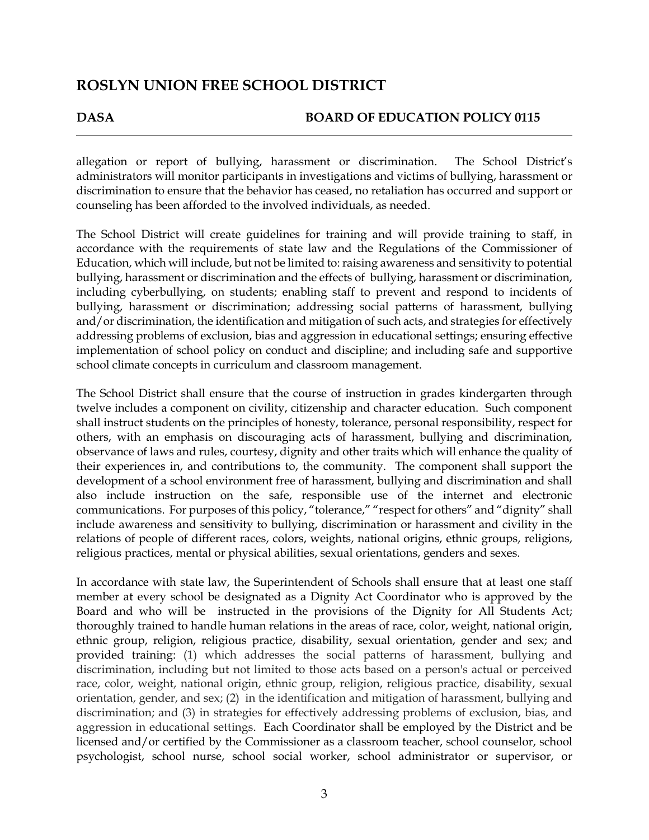## **DASA BOARD OF EDUCATION POLICY 0115**

allegation or report of bullying, harassment or discrimination. The School District's administrators will monitor participants in investigations and victims of bullying, harassment or discrimination to ensure that the behavior has ceased, no retaliation has occurred and support or counseling has been afforded to the involved individuals, as needed.

The School District will create guidelines for training and will provide training to staff, in accordance with the requirements of state law and the Regulations of the Commissioner of Education, which will include, but not be limited to:raising awareness and sensitivity to potential bullying, harassment or discrimination and the effects of bullying, harassment or discrimination, including cyberbullying, on students; enabling staff to prevent and respond to incidents of bullying, harassment or discrimination; addressing social patterns of harassment, bullying and/or discrimination, the identification and mitigation of such acts, and strategies for effectively addressing problems of exclusion, bias and aggression in educational settings; ensuring effective implementation of school policy on conduct and discipline; and including safe and supportive school climate concepts in curriculum and classroom management.

The School District shall ensure that the course of instruction in grades kindergarten through twelve includes a component on civility, citizenship and character education. Such component shall instruct students on the principles of honesty, tolerance, personal responsibility, respect for others, with an emphasis on discouraging acts of harassment, bullying and discrimination, observance of laws and rules, courtesy, dignity and other traits which will enhance the quality of their experiences in, and contributions to, the community. The component shall support the development of a school environment free of harassment, bullying and discrimination and shall also include instruction on the safe, responsible use of the internet and electronic communications. For purposes of this policy, "tolerance," "respect for others" and "dignity" shall include awareness and sensitivity to bullying, discrimination or harassment and civility in the relations of people of different races, colors, weights, national origins, ethnic groups, religions, religious practices, mental or physical abilities, sexual orientations, genders and sexes.

In accordance with state law, the Superintendent of Schools shall ensure that at least one staff member at every school be designated as a Dignity Act Coordinator who is approved by the Board and who will be instructed in the provisions of the Dignity for All Students Act; thoroughly trained to handle human relations in the areas of race, color, weight, national origin, ethnic group, religion, religious practice, disability, sexual orientation, gender and sex; and provided training: (1) which addresses the social patterns of harassment, bullying and discrimination, including but not limited to those acts based on a person's actual or perceived race, color, weight, national origin, ethnic group, religion, religious practice, disability, sexual orientation, gender, and sex; (2) in the identification and mitigation of harassment, bullying and discrimination; and (3) in strategies for effectively addressing problems of exclusion, bias, and aggression in educational settings. Each Coordinator shall be employed by the District and be licensed and/or certified by the Commissioner as a classroom teacher, school counselor, school psychologist, school nurse, school social worker, school administrator or supervisor, or